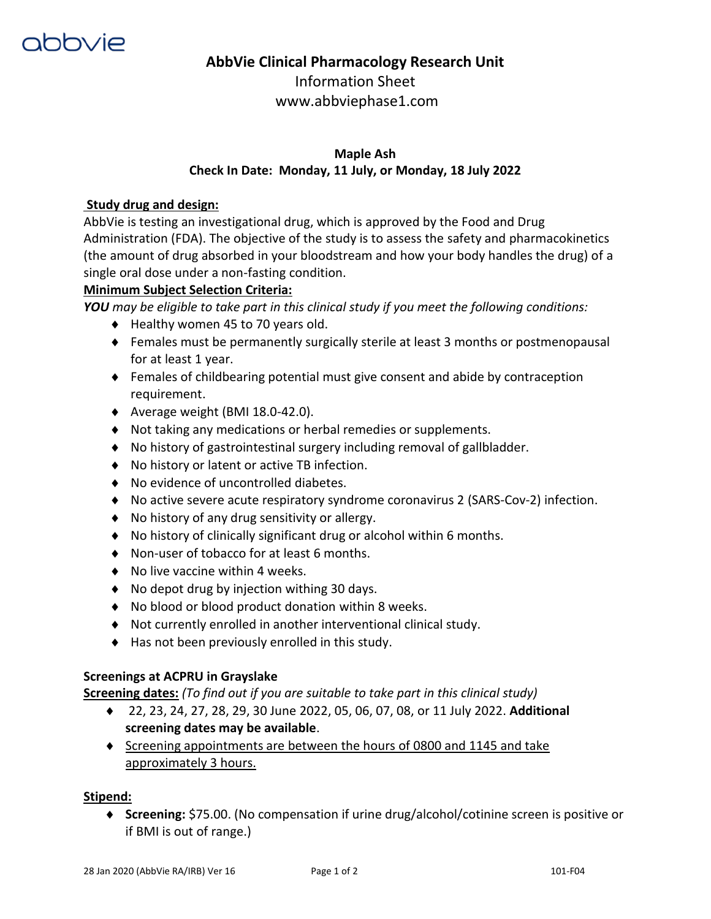

# **AbbVie Clinical Pharmacology Research Unit**

Information Sheet www.abbviephase1.com

# **Maple Ash Check In Date: Monday, 11 July, or Monday, 18 July 2022**

## **Study drug and design:**

AbbVie is testing an investigational drug, which is approved by the Food and Drug Administration (FDA). The objective of the study is to assess the safety and pharmacokinetics (the amount of drug absorbed in your bloodstream and how your body handles the drug) of a single oral dose under a non-fasting condition.

## **Minimum Subject Selection Criteria:**

*YOU may be eligible to take part in this clinical study if you meet the following conditions:* 

- $\blacklozenge$  Healthy women 45 to 70 years old.
- Females must be permanently surgically sterile at least 3 months or postmenopausal for at least 1 year.
- Females of childbearing potential must give consent and abide by contraception requirement.
- $\blacklozenge$  Average weight (BMI 18.0-42.0).
- Not taking any medications or herbal remedies or supplements.
- No history of gastrointestinal surgery including removal of gallbladder.
- ◆ No history or latent or active TB infection.
- ◆ No evidence of uncontrolled diabetes.
- No active severe acute respiratory syndrome coronavirus 2 (SARS-Cov-2) infection.
- ◆ No history of any drug sensitivity or allergy.
- No history of clinically significant drug or alcohol within 6 months.
- ◆ Non-user of tobacco for at least 6 months.
- ◆ No live vaccine within 4 weeks.
- ◆ No depot drug by injection withing 30 days.
- No blood or blood product donation within 8 weeks.
- Not currently enrolled in another interventional clinical study.
- $\blacklozenge$  Has not been previously enrolled in this study.

#### **Screenings at ACPRU in Grayslake**

**Screening dates:** *(To find out if you are suitable to take part in this clinical study)*

- 22, 23, 24, 27, 28, 29, 30 June 2022, 05, 06, 07, 08, or 11 July 2022. **Additional screening dates may be available**.
- Screening appointments are between the hours of 0800 and 1145 and take approximately 3 hours.

#### **Stipend:**

 **Screening:** \$75.00. (No compensation if urine drug/alcohol/cotinine screen is positive or if BMI is out of range.)